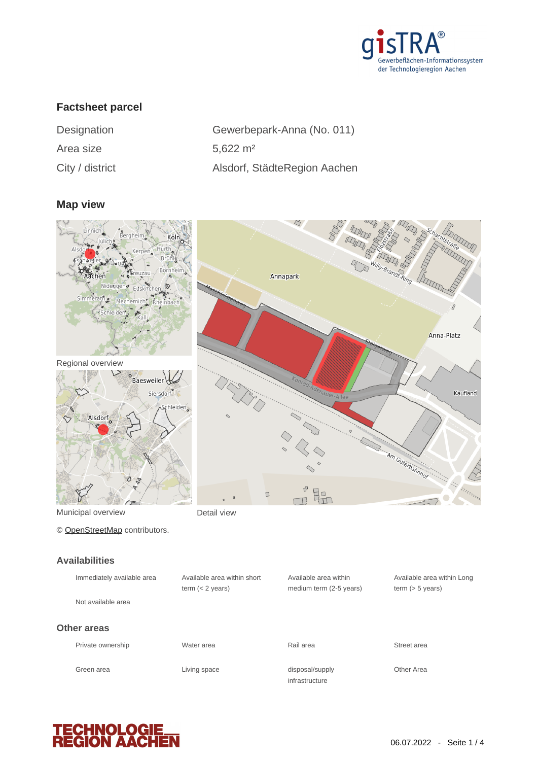

# **Factsheet parcel**

| Designation     | Gewerbe    |
|-----------------|------------|
| Area size       | 5,622 $m2$ |
| City / district | Alsdorf, S |

| Designation     | Gewerbepark-Anna (No. 011)   |
|-----------------|------------------------------|
| Area size       | $5.622 \text{ m}^2$          |
| City / district | Alsdorf, StädteRegion Aachen |

#### **Map view**



### **Availabilities**

| Immediately available area | Available area within short<br>term $(< 2$ years) | Available area within<br>medium term (2-5 years) | Available area within Long<br>term $(> 5$ years) |
|----------------------------|---------------------------------------------------|--------------------------------------------------|--------------------------------------------------|
| Not available area         |                                                   |                                                  |                                                  |
| Other areas                |                                                   |                                                  |                                                  |
| Private ownership          | Water area                                        | Rail area                                        | Street area                                      |
| Green area                 | Living space                                      | disposal/supply<br>infrastructure                | Other Area                                       |

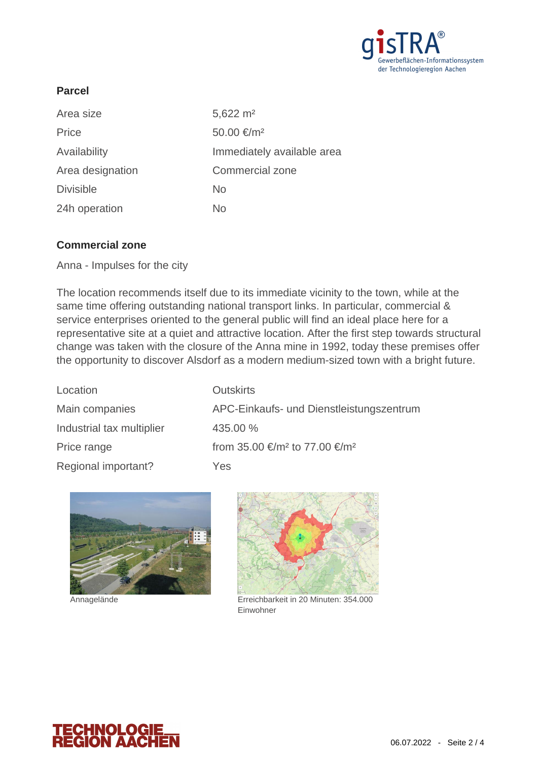

## **Parcel**

| $5,622 \text{ m}^2$        |
|----------------------------|
| 50.00 €/m <sup>2</sup>     |
| Immediately available area |
| Commercial zone            |
| No                         |
| No                         |
|                            |

### **Commercial zone**

Anna - Impulses for the city

The location recommends itself due to its immediate vicinity to the town, while at the same time offering outstanding national transport links. In particular, commercial & service enterprises oriented to the general public will find an ideal place here for a representative site at a quiet and attractive location. After the first step towards structural change was taken with the closure of the Anna mine in 1992, today these premises offer the opportunity to discover Alsdorf as a modern medium-sized town with a bright future.

| Main companies<br>APC-Einkaufs- und Dienstleistungszentrum           |  |
|----------------------------------------------------------------------|--|
|                                                                      |  |
| Industrial tax multiplier<br>435.00 %                                |  |
| from 35.00 €/m <sup>2</sup> to 77.00 €/m <sup>2</sup><br>Price range |  |
| Regional important?<br>Yes                                           |  |



Annagelände



Erreichbarkeit in 20 Minuten: 354.000 Einwohner

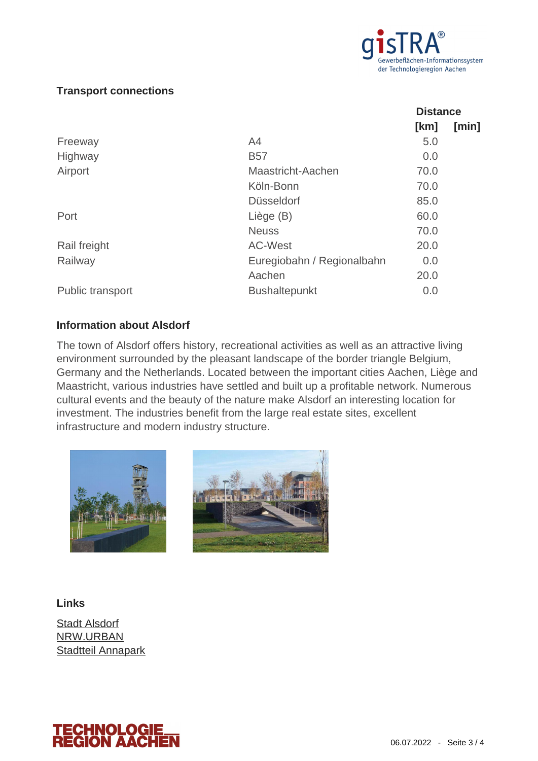

### **Transport connections**

|                            | <b>Distance</b> |       |
|----------------------------|-----------------|-------|
|                            | [km]            | [min] |
| A4                         | 5.0             |       |
| <b>B57</b>                 | 0.0             |       |
| Maastricht-Aachen          | 70.0            |       |
| Köln-Bonn                  | 70.0            |       |
| <b>Düsseldorf</b>          | 85.0            |       |
| Liège (B)                  | 60.0            |       |
| <b>Neuss</b>               | 70.0            |       |
| <b>AC-West</b>             | 20.0            |       |
| Euregiobahn / Regionalbahn | 0.0             |       |
| Aachen                     | 20.0            |       |
| <b>Bushaltepunkt</b>       | 0.0             |       |
|                            |                 |       |

### **Information about Alsdorf**

The town of Alsdorf offers history, recreational activities as well as an attractive living environment surrounded by the pleasant landscape of the border triangle Belgium, Germany and the Netherlands. Located between the important cities Aachen, Liège and Maastricht, various industries have settled and built up a profitable network. Numerous cultural events and the beauty of the nature make Alsdorf an interesting location for investment. The industries benefit from the large real estate sites, excellent infrastructure and modern industry structure.





**Links**

[Stadt Alsdorf](http://www.alsdorf.de) [NRW.URBAN](http://www.nrw-urban.de/projektbeispiele/anna-park-alsdorf/) [Stadtteil Annapark](http://www.annapark-alsdorf.de)